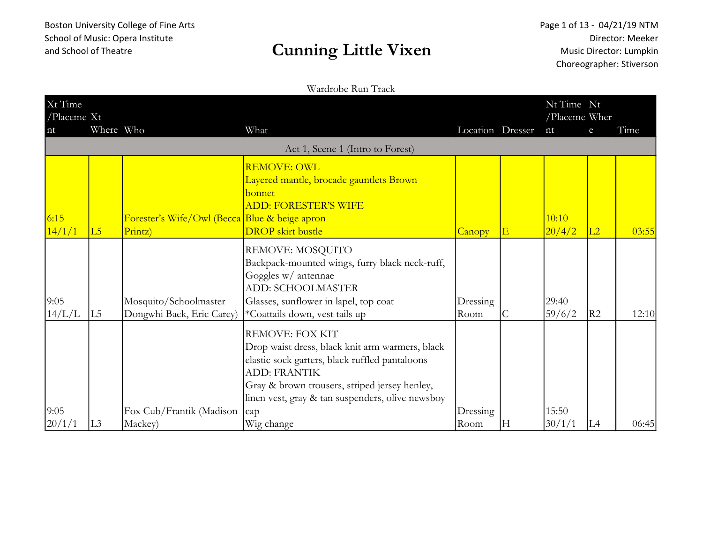### and School of Theatre and School of Theatre

#### Wardrobe Run Track

| Xt Time<br>/Placeme $Xt$ |                 |                                                          |                                                                                                                                                                                                                                                                              |                  |              | Nt Time Nt<br>/Placeme Wher |    |       |
|--------------------------|-----------------|----------------------------------------------------------|------------------------------------------------------------------------------------------------------------------------------------------------------------------------------------------------------------------------------------------------------------------------------|------------------|--------------|-----------------------------|----|-------|
| n t                      | Where Who       |                                                          | What                                                                                                                                                                                                                                                                         | Location Dresser |              | nt                          | e  | Time  |
|                          |                 |                                                          | Act 1, Scene 1 (Intro to Forest)                                                                                                                                                                                                                                             |                  |              |                             |    |       |
| 6:15<br>14/1/1           | $\overline{L5}$ | Forester's Wife/Owl (Becca Blue & beige apron<br>Printz) | <b>REMOVE: OWL</b><br>Layered mantle, brocade gauntlets Brown<br>bonnet<br><b>ADD: FORESTER'S WIFE</b><br><b>DROP</b> skirt bustle                                                                                                                                           | Canopy           | $\vert$ E    | 10:10<br>20/4/2             | L2 | 03:55 |
| 9:05<br>14/L/L           | L <sub>5</sub>  | Mosquito/Schoolmaster<br>Dongwhi Baek, Eric Carey)       | REMOVE: MOSQUITO<br>Backpack-mounted wings, furry black neck-ruff,<br>Goggles w/ antennae<br><b>ADD: SCHOOLMASTER</b><br>Glasses, sunflower in lapel, top coat<br>*Coattails down, vest tails up                                                                             | Dressing<br>Room | $\mathsf{C}$ | 29:40<br>59/6/2             | R2 | 12:10 |
| 9:05<br>20/1/1           | L <sub>3</sub>  | Fox Cub/Frantik (Madison<br>Mackey)                      | <b>REMOVE: FOX KIT</b><br>Drop waist dress, black knit arm warmers, black<br>elastic sock garters, black ruffled pantaloons<br><b>ADD: FRANTIK</b><br>Gray & brown trousers, striped jersey henley,<br>linen vest, gray & tan suspenders, olive newsboy<br>cap<br>Wig change | Dressing<br>Room | $\vert$ H    | 15:50<br>30/1/1             | L4 | 06:45 |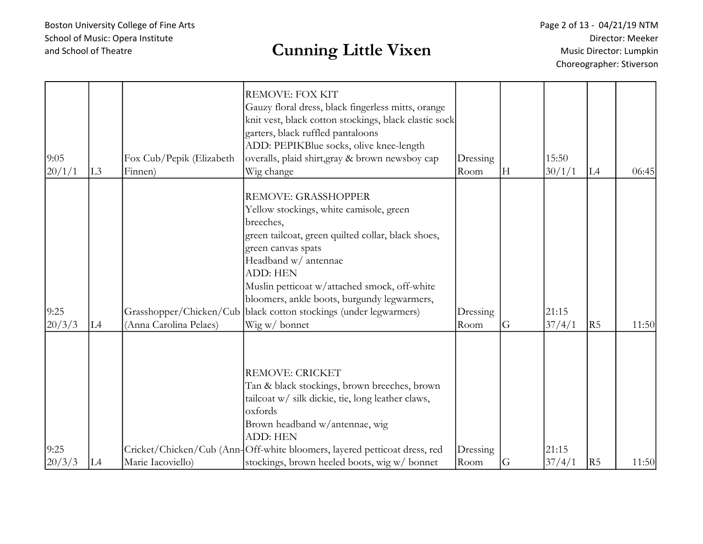### and School of Theatre and School of Theatre

Page 2 of 13 - 04/21/19 NTM Director: Meeker Music Director: Lumpkin Choreographer: Stiverson

| 9:05<br>20/1/1 | L3             | Fox Cub/Pepik (Elizabeth<br>Finnen)               | <b>REMOVE: FOX KIT</b><br>Gauzy floral dress, black fingerless mitts, orange<br>knit vest, black cotton stockings, black elastic sock<br>garters, black ruffled pantaloons<br>ADD: PEPIKBlue socks, olive knee-length<br>overalls, plaid shirt, gray & brown newsboy cap<br>Wig change                                                                                 | Dressing<br>Room | lН            | 15:50<br>30/1/1 | L4             | 06:45 |
|----------------|----------------|---------------------------------------------------|------------------------------------------------------------------------------------------------------------------------------------------------------------------------------------------------------------------------------------------------------------------------------------------------------------------------------------------------------------------------|------------------|---------------|-----------------|----------------|-------|
| 9:25<br>20/3/3 | L <sub>4</sub> | Grasshopper/Chicken/Cub<br>(Anna Carolina Pelaes) | <b>REMOVE: GRASSHOPPER</b><br>Yellow stockings, white camisole, green<br>breeches,<br>green tailcoat, green quilted collar, black shoes,<br>green canvas spats<br>Headband w/ antennae<br><b>ADD: HEN</b><br>Muslin petticoat w/attached smock, off-white<br>bloomers, ankle boots, burgundy legwarmers,<br>black cotton stockings (under legwarmers)<br>Wig w/ bonnet | Dressing<br>Room | <sub>IG</sub> | 21:15<br>37/4/1 | R5             | 11:50 |
| 9:25<br>20/3/3 | L4             | Marie Iacoviello)                                 | <b>REMOVE: CRICKET</b><br>Tan & black stockings, brown breeches, brown<br>tailcoat w/ silk dickie, tie, long leather claws,<br>oxfords<br>Brown headband w/antennae, wig<br><b>ADD: HEN</b><br>Cricket/Chicken/Cub (Ann-Off-white bloomers, layered petticoat dress, red<br>stockings, brown heeled boots, wig w/ bonnet                                               | Dressing<br>Room | <sub>IG</sub> | 21:15<br>37/4/1 | R <sub>5</sub> | 11:50 |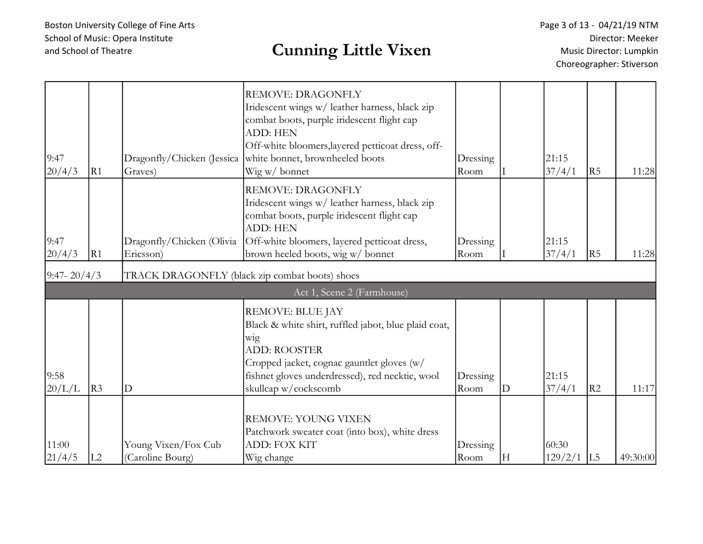| 9:47<br>20/4/3  | R1 | Graves)                                        | REMOVE: DRAGONFLY<br>Iridescent wings w/ leather harness, black zip<br>combat boots, purple iridescent flight cap<br>ADD: HEN<br>Off-white bloomers, layered petticoat dress, off-<br>Dragonfly/Chicken (Jessica   white bonnet, brownheeled boots<br>Wig w/ bonnet | Dressing<br>Room |              | 21:15<br>37/4/1  | R5             | 11:28    |
|-----------------|----|------------------------------------------------|---------------------------------------------------------------------------------------------------------------------------------------------------------------------------------------------------------------------------------------------------------------------|------------------|--------------|------------------|----------------|----------|
| 9:47<br>20/4/3  | R1 | Dragonfly/Chicken (Olivia<br>Ericsson)         | <b>REMOVE: DRAGONFLY</b><br>Iridescent wings w/ leather harness, black zip<br>combat boots, purple iridescent flight cap<br><b>ADD: HEN</b><br>Off-white bloomers, layered petticoat dress,<br>brown heeled boots, wig w/ bonnet                                    | Dressing<br>Room |              | 21:15<br>37/4/1  | R5             | 11:28    |
| $9:47 - 20/4/3$ |    | TRACK DRAGONFLY (black zip combat boots) shoes |                                                                                                                                                                                                                                                                     |                  |              |                  |                |          |
|                 |    |                                                | Act 1, Scene 2 (Farmhouse)                                                                                                                                                                                                                                          |                  |              |                  |                |          |
| 9:58<br>20/L/L  | R3 | $\mathbf D$                                    | <b>REMOVE: BLUE JAY</b><br>Black & white shirt, ruffled jabot, blue plaid coat,<br>wig<br><b>ADD: ROOSTER</b><br>Cropped jacket, cognac gauntlet gloves (w/<br>fishnet gloves underdressed), red necktie, wool<br>skullcap w/cockscomb                              | Dressing<br>Room | $\mathbf{D}$ | 21:15<br>37/4/1  | R <sub>2</sub> | 11:17    |
| 11:00<br>21/4/5 | L2 | Young Vixen/Fox Cub<br>(Caroline Bourg)        | <b>REMOVE: YOUNG VIXEN</b><br>Patchwork sweater coat (into box), white dress<br>ADD: FOX KIT<br>Wig change                                                                                                                                                          | Dressing<br>Room | H            | 60:30<br>129/2/1 | L <sub>5</sub> | 49:30:00 |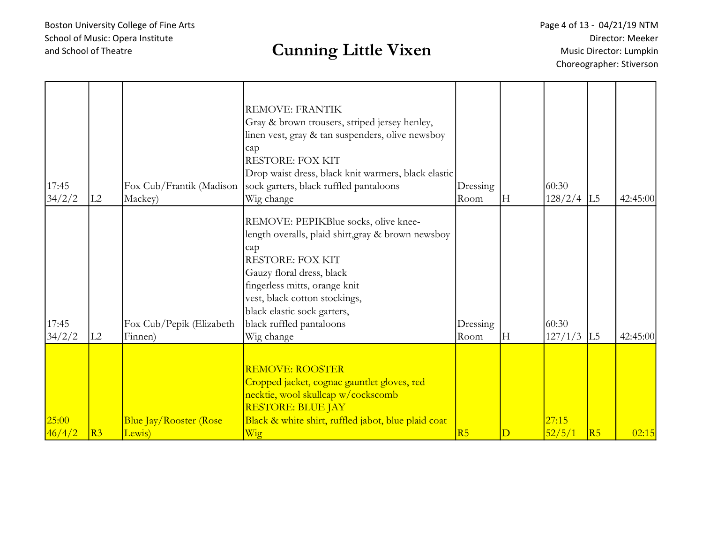# and School of Theatre Cunning Little Vixen

| 17:45<br>34/2/2 | L2             | Fox Cub/Frantik (Madison<br>Mackey)     | <b>REMOVE: FRANTIK</b><br>Gray & brown trousers, striped jersey henley,<br>linen vest, gray & tan suspenders, olive newsboy<br>cap<br><b>RESTORE: FOX KIT</b><br>Drop waist dress, black knit warmers, black elastic<br>sock garters, black ruffled pantaloons<br>Wig change                         | Dressing<br>Room | H | 60:30<br>$128/2/4$ L5 |    | 42:45:00 |
|-----------------|----------------|-----------------------------------------|------------------------------------------------------------------------------------------------------------------------------------------------------------------------------------------------------------------------------------------------------------------------------------------------------|------------------|---|-----------------------|----|----------|
| 17:45<br>34/2/2 | L2             | Fox Cub/Pepik (Elizabeth<br>Finnen)     | REMOVE: PEPIKBlue socks, olive knee-<br>length overalls, plaid shirt, gray & brown newsboy<br>cap<br><b>RESTORE: FOX KIT</b><br>Gauzy floral dress, black<br>fingerless mitts, orange knit<br>vest, black cotton stockings,<br>black elastic sock garters,<br>black ruffled pantaloons<br>Wig change | Dressing<br>Room | H | 60:30<br>$127/1/3$ L5 |    | 42:45:00 |
| 25:00<br>46/4/2 | R <sub>3</sub> | <b>Blue Jay/Rooster (Rose</b><br>Lewis) | <b>REMOVE: ROOSTER</b><br>Cropped jacket, cognac gauntlet gloves, red<br>necktie, wool skullcap w/cockscomb<br><b>RESTORE: BLUE JAY</b><br>Black & white shirt, ruffled jabot, blue plaid coat<br>Wig                                                                                                | R5               | D | 27:15<br>52/5/1       | R5 | 02:15    |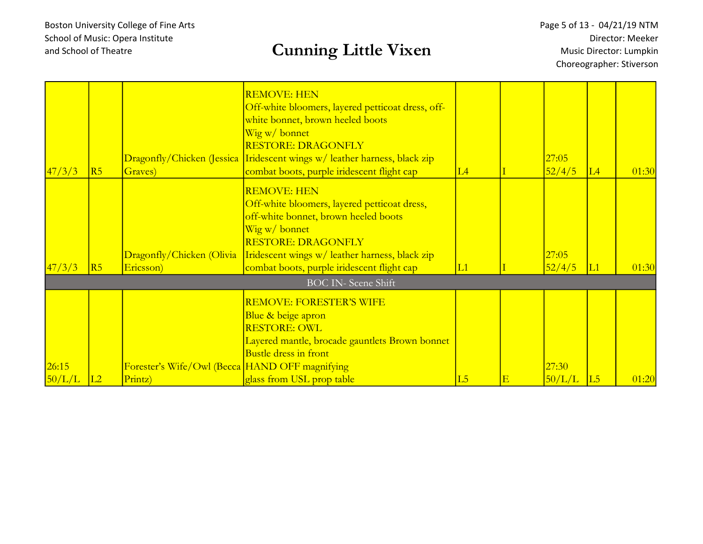### and School of Theatre and School of Theatre

Page 5 of 13 - 04/21/19 NTM Director: Meeker Music Director: Lumpkin Choreographer: Stiverson

| 47/3/3<br>R5                     |                                                | Wig w/ bonnet                                                                                                                                                                                              |    |        |                 |       |
|----------------------------------|------------------------------------------------|------------------------------------------------------------------------------------------------------------------------------------------------------------------------------------------------------------|----|--------|-----------------|-------|
|                                  |                                                | <b>RESTORE: DRAGONFLY</b><br>Dragonfly/Chicken (Jessica Indescent wings w/ leather harness, black zip                                                                                                      |    | 27:05  |                 |       |
|                                  | Graves)                                        | combat boots, purple iridescent flight cap                                                                                                                                                                 | L4 | 52/4/5 | $\overline{L4}$ | 01:30 |
|                                  | Dragonfly/Chicken (Olivia                      | <b>REMOVE: HEN</b><br>Off-white bloomers, layered petticoat dress,<br>off-white bonnet, brown heeled boots<br>Wig w/ bonnet<br><b>RESTORE: DRAGONFLY</b><br>Iridescent wings w/ leather harness, black zip |    | 27:05  |                 |       |
| 47/3/3<br>R5                     | Ericsson)                                      | combat boots, purple iridescent flight cap                                                                                                                                                                 | L1 | 52/4/5 | L1              | 01:30 |
|                                  |                                                | <b>BOC IN-Scene Shift</b>                                                                                                                                                                                  |    |        |                 |       |
| 26:15<br>50/L/L<br>Printz)<br>L2 | Forester's Wife/Owl (Becca HAND OFF magnifying | <b>REMOVE: FORESTER'S WIFE</b><br>Blue & beige apron<br><b>RESTORE: OWL</b><br>Layered mantle, brocade gauntlets Brown bonnet<br><b>Bustle dress in front</b><br>glass from USL prop table                 | L5 | 27:30  |                 |       |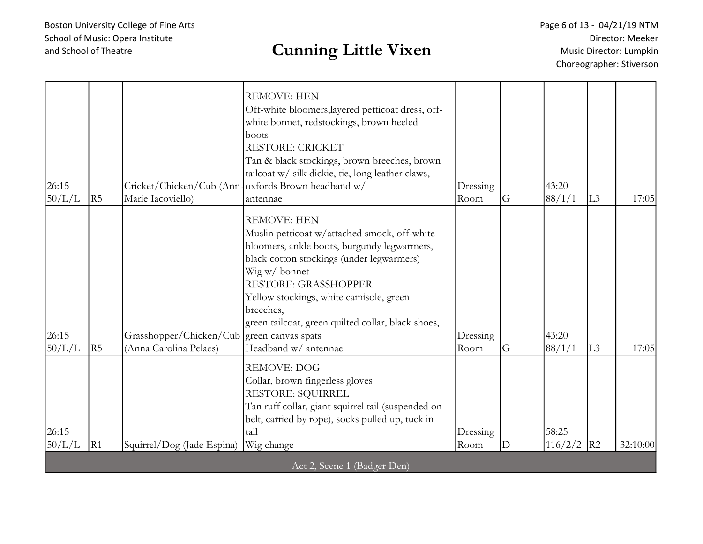## and School of Theatre and School of Theatre

Page 6 of 13 - 04/21/19 NTM Director: Meeker Music Director: Lumpkin Choreographer: Stiverson

| 26:15<br>50/L/L | R5             | Marie Iacoviello)                                 | <b>REMOVE: HEN</b><br>Off-white bloomers, layered petticoat dress, off-<br>white bonnet, redstockings, brown heeled<br>boots<br><b>RESTORE: CRICKET</b><br>Tan & black stockings, brown breeches, brown<br>tailcoat w/ silk dickie, tie, long leather claws,<br>Cricket/Chicken/Cub (Ann-oxfords Brown headband w/<br>antennae                                            | Dressing<br>Room | G | 43:20<br>88/1/1       | L <sub>3</sub> | 17:05    |
|-----------------|----------------|---------------------------------------------------|---------------------------------------------------------------------------------------------------------------------------------------------------------------------------------------------------------------------------------------------------------------------------------------------------------------------------------------------------------------------------|------------------|---|-----------------------|----------------|----------|
| 26:15<br>50/L/L | R <sub>5</sub> | Grasshopper/Chicken/Cub<br>(Anna Carolina Pelaes) | <b>REMOVE: HEN</b><br>Muslin petticoat w/attached smock, off-white<br>bloomers, ankle boots, burgundy legwarmers,<br>black cotton stockings (under legwarmers)<br>Wig w/bonnet<br><b>RESTORE: GRASSHOPPER</b><br>Yellow stockings, white camisole, green<br>breeches,<br>green tailcoat, green quilted collar, black shoes,<br>green canvas spats<br>Headband w/ antennae | Dressing<br>Room | G | 43:20<br>88/1/1       | L <sub>3</sub> | 17:05    |
| 26:15<br>50/L/L | R1             | Squirrel/Dog (Jade Espina)                        | <b>REMOVE: DOG</b><br>Collar, brown fingerless gloves<br>RESTORE: SQUIRREL<br>Tan ruff collar, giant squirrel tail (suspended on<br>belt, carried by rope), socks pulled up, tuck in<br>tail<br>Wig change                                                                                                                                                                | Dressing<br>Room | D | 58:25<br>$116/2/2$ R2 |                | 32:10:00 |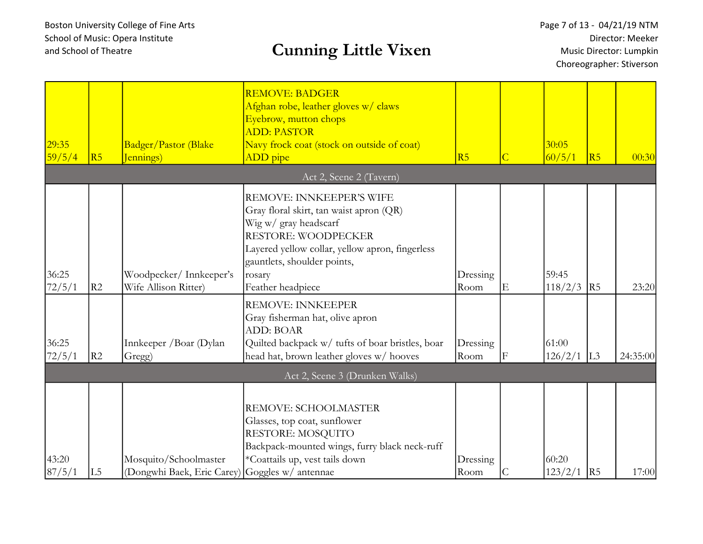| 29:35<br>59/5/4 | R5 | Badger/Pastor (Blake<br>Jennings)                                       | <b>REMOVE: BADGER</b><br>Afghan robe, leather gloves w/ claws<br>Eyebrow, mutton chops<br><b>ADD: PASTOR</b><br>Navy frock coat (stock on outside of coat)<br>ADD pipe                                                                      | R <sub>5</sub>   | $\overline{C}$ | 30:05<br>60/5/1  | R5             | 00:30    |
|-----------------|----|-------------------------------------------------------------------------|---------------------------------------------------------------------------------------------------------------------------------------------------------------------------------------------------------------------------------------------|------------------|----------------|------------------|----------------|----------|
|                 |    |                                                                         | Act 2, Scene 2 (Tavern)                                                                                                                                                                                                                     |                  |                |                  |                |          |
| 36:25<br>72/5/1 | R2 | Woodpecker/Innkeeper's<br>Wife Allison Ritter)                          | REMOVE: INNKEEPER'S WIFE<br>Gray floral skirt, tan waist apron (QR)<br>Wig w/ gray headscarf<br><b>RESTORE: WOODPECKER</b><br>Layered yellow collar, yellow apron, fingerless<br>gauntlets, shoulder points,<br>rosary<br>Feather headpiece | Dressing<br>Room | Ε              | 59:45<br>118/2/3 | R5             | 23:20    |
| 36:25           |    | Innkeeper / Boar (Dylan                                                 | <b>REMOVE: INNKEEPER</b><br>Gray fisherman hat, olive apron<br><b>ADD: BOAR</b><br>Quilted backpack w/ tufts of boar bristles, boar                                                                                                         | Dressing         |                | 61:00            |                |          |
| 72/5/1          | R2 | Gregg)                                                                  | head hat, brown leather gloves w/ hooves                                                                                                                                                                                                    | Room             | F              | 126/2/1          | L <sub>3</sub> | 24:35:00 |
|                 |    |                                                                         | Act 2, Scene 3 (Drunken Walks)                                                                                                                                                                                                              |                  |                |                  |                |          |
| 43:20<br>87/5/1 | L5 | Mosquito/Schoolmaster<br>(Dongwhi Baek, Eric Carey) Goggles w/ antennae | REMOVE: SCHOOLMASTER<br>Glasses, top coat, sunflower<br>RESTORE: MOSQUITO<br>Backpack-mounted wings, furry black neck-ruff<br>*Coattails up, vest tails down                                                                                | Dressing<br>Room | С              | 60:20<br>123/2/1 | R5             | 17:00    |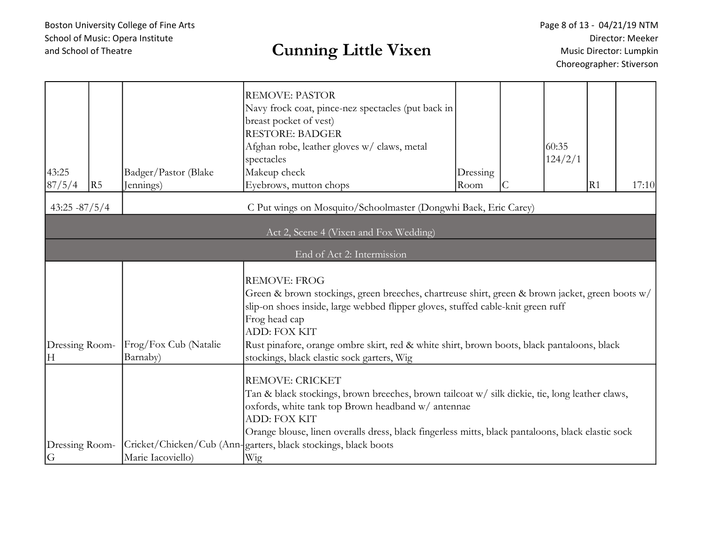| 43:25<br>87/5/4     | R5 | Badger/Pastor (Blake<br>Jennings) | <b>REMOVE: PASTOR</b><br>Navy frock coat, pince-nez spectacles (put back in<br>breast pocket of vest)<br><b>RESTORE: BADGER</b><br>Afghan robe, leather gloves w/ claws, metal<br>spectacles<br>Makeup check<br>Eyebrows, mutton chops                                                                                                                                                         | Dressing<br>Room | 60:35<br>124/2/1 | R1 | 17:10 |
|---------------------|----|-----------------------------------|------------------------------------------------------------------------------------------------------------------------------------------------------------------------------------------------------------------------------------------------------------------------------------------------------------------------------------------------------------------------------------------------|------------------|------------------|----|-------|
| $43:25 - 87/5/4$    |    |                                   | C Put wings on Mosquito/Schoolmaster (Dongwhi Baek, Eric Carey)                                                                                                                                                                                                                                                                                                                                |                  |                  |    |       |
|                     |    |                                   | Act 2, Scene 4 (Vixen and Fox Wedding)                                                                                                                                                                                                                                                                                                                                                         |                  |                  |    |       |
|                     |    |                                   | End of Act 2: Intermission                                                                                                                                                                                                                                                                                                                                                                     |                  |                  |    |       |
| Dressing Room-<br>H |    | Frog/Fox Cub (Natalie<br>Barnaby) | <b>REMOVE: FROG</b><br>Green & brown stockings, green breeches, chartreuse shirt, green & brown jacket, green boots w/<br>slip-on shoes inside, large webbed flipper gloves, stuffed cable-knit green ruff<br>Frog head cap<br><b>ADD: FOX KIT</b><br>Rust pinafore, orange ombre skirt, red & white shirt, brown boots, black pantaloons, black<br>stockings, black elastic sock garters, Wig |                  |                  |    |       |
| Dressing Room-<br>G |    | Marie Iacoviello)                 | <b>REMOVE: CRICKET</b><br>Tan & black stockings, brown breeches, brown tailcoat w/ silk dickie, tie, long leather claws,<br>oxfords, white tank top Brown headband w/ antennae<br><b>ADD: FOX KIT</b><br>Orange blouse, linen overalls dress, black fingerless mitts, black pantaloons, black elastic sock<br>Cricket/Chicken/Cub (Ann-garters, black stockings, black boots<br>Wig            |                  |                  |    |       |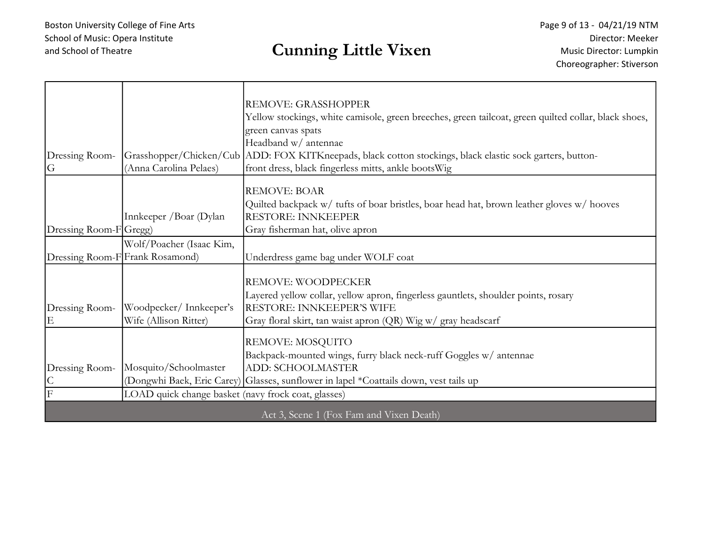| Dressing Room-<br>G                             | (Anna Carolina Pelaes)                                                       | REMOVE: GRASSHOPPER<br>Yellow stockings, white camisole, green breeches, green tailcoat, green quilted collar, black shoes,<br>green canvas spats<br>Headband w/ antennae<br>Grasshopper/Chicken/Cub ADD: FOX KITKneepads, black cotton stockings, black elastic sock garters, button-<br>front dress, black fingerless mitts, ankle boots Wig |
|-------------------------------------------------|------------------------------------------------------------------------------|------------------------------------------------------------------------------------------------------------------------------------------------------------------------------------------------------------------------------------------------------------------------------------------------------------------------------------------------|
| Dressing Room-FGregg)                           | Innkeeper / Boar (Dylan                                                      | <b>REMOVE: BOAR</b><br>Quilted backpack w/ tufts of boar bristles, boar head hat, brown leather gloves w/ hooves<br><b>RESTORE: INNKEEPER</b><br>Gray fisherman hat, olive apron                                                                                                                                                               |
| Dressing Room-F Frank Rosamond)                 | Wolf/Poacher (Isaac Kim,                                                     | Underdress game bag under WOLF coat                                                                                                                                                                                                                                                                                                            |
| Dressing Room-<br>E                             | Woodpecker/Innkeeper's<br>Wife (Allison Ritter)                              | REMOVE: WOODPECKER<br>Layered yellow collar, yellow apron, fingerless gauntlets, shoulder points, rosary<br>RESTORE: INNKEEPER'S WIFE<br>Gray floral skirt, tan waist apron (QR) Wig w/ gray headscarf                                                                                                                                         |
| Dressing Room-<br>$\mathsf C$<br>$\overline{F}$ | Mosquito/Schoolmaster<br>LOAD quick change basket (navy frock coat, glasses) | REMOVE: MOSQUITO<br>Backpack-mounted wings, furry black neck-ruff Goggles w/ antennae<br><b>ADD: SCHOOLMASTER</b><br>(Dongwhi Baek, Eric Carey) Glasses, sunflower in lapel *Coattails down, vest tails up                                                                                                                                     |
|                                                 |                                                                              | Act 3, Scene 1 (Fox Fam and Vixen Death)                                                                                                                                                                                                                                                                                                       |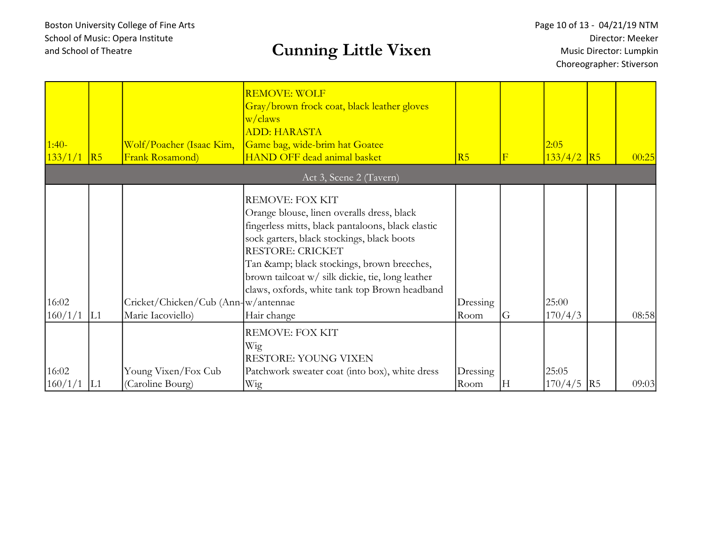| $1:40-$<br>133/1/1 | $\overline{R5}$ | Wolf/Poacher (Isaac Kim,<br><b>Frank Rosamond</b> ) | <b>REMOVE: WOLF</b><br>Gray/brown frock coat, black leather gloves<br>w/claws<br><b>ADD: HARASTA</b><br>Game bag, wide-brim hat Goatee<br><b>HAND OFF dead animal basket</b>                                                                                                                                                               | R5       | $\mathbf{F}$ | 2:05<br>$133/4/2$ R5 |                 | 00:25 |
|--------------------|-----------------|-----------------------------------------------------|--------------------------------------------------------------------------------------------------------------------------------------------------------------------------------------------------------------------------------------------------------------------------------------------------------------------------------------------|----------|--------------|----------------------|-----------------|-------|
|                    |                 |                                                     | Act 3, Scene 2 (Tavern)                                                                                                                                                                                                                                                                                                                    |          |              |                      |                 |       |
| 16:02              |                 | Cricket/Chicken/Cub (Ann-w/antennae)                | REMOVE: FOX KIT<br>Orange blouse, linen overalls dress, black<br>fingerless mitts, black pantaloons, black elastic<br>sock garters, black stockings, black boots<br><b>RESTORE: CRICKET</b><br>Tan & black stockings, brown breeches,<br>brown tailcoat w/ silk dickie, tie, long leather<br>claws, oxfords, white tank top Brown headband | Dressing | G            | 25:00                |                 |       |
| 160/1/1            | L1              | Marie Iacoviello)                                   | Hair change                                                                                                                                                                                                                                                                                                                                | Room     |              | 170/4/3              |                 | 08:58 |
| 16:02              |                 | Young Vixen/Fox Cub                                 | REMOVE: FOX KIT<br>Wig<br>RESTORE: YOUNG VIXEN<br>Patchwork sweater coat (into box), white dress                                                                                                                                                                                                                                           | Dressing |              | 25:05                |                 |       |
| 160/1/1            | L1              | (Caroline Bourg)                                    | Wig                                                                                                                                                                                                                                                                                                                                        | Room     | Н            | 170/4/5              | $\overline{R5}$ | 09:03 |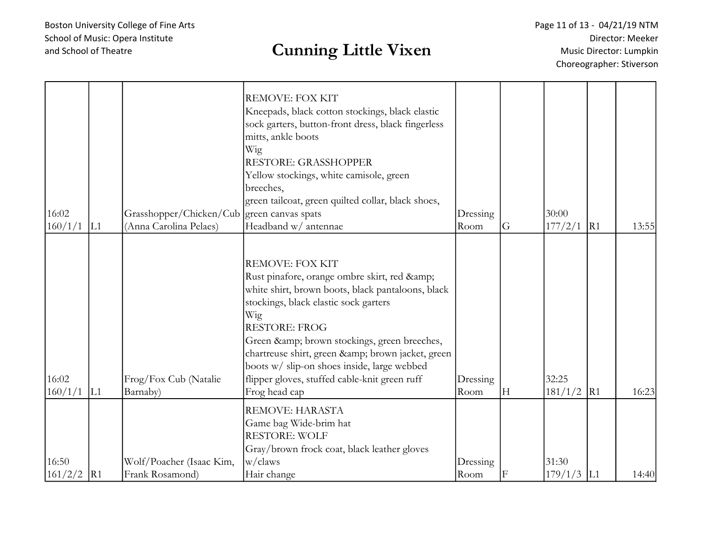| 16:02<br>160/1/1 | L1 | Grasshopper/Chicken/Cub green canvas spats<br>(Anna Carolina Pelaes) | <b>REMOVE: FOX KIT</b><br>Kneepads, black cotton stockings, black elastic<br>sock garters, button-front dress, black fingerless<br>mitts, ankle boots<br>Wig<br>RESTORE: GRASSHOPPER<br>Yellow stockings, white camisole, green<br>breeches,<br>green tailcoat, green quilted collar, black shoes,<br>Headband w/ antennae                                                                                    | Dressing<br>Room | G | 30:00<br>$177/2/1$ R1 | 13:55 |
|------------------|----|----------------------------------------------------------------------|---------------------------------------------------------------------------------------------------------------------------------------------------------------------------------------------------------------------------------------------------------------------------------------------------------------------------------------------------------------------------------------------------------------|------------------|---|-----------------------|-------|
| 16:02<br>160/1/1 | L1 | Frog/Fox Cub (Natalie<br>Barnaby)                                    | <b>REMOVE: FOX KIT</b><br>Rust pinafore, orange ombre skirt, red &<br>white shirt, brown boots, black pantaloons, black<br>stockings, black elastic sock garters<br>Wig<br><b>RESTORE: FROG</b><br>Green & brown stockings, green breeches,<br>chartreuse shirt, green & brown jacket, green<br>boots w/ slip-on shoes inside, large webbed<br>flipper gloves, stuffed cable-knit green ruff<br>Frog head cap | Dressing<br>Room | H | 32:25<br>$181/1/2$ R1 | 16:23 |
| 16:50<br>161/2/2 | R1 | Wolf/Poacher (Isaac Kim,<br>Frank Rosamond)                          | REMOVE: HARASTA<br>Game bag Wide-brim hat<br><b>RESTORE: WOLF</b><br>Gray/brown frock coat, black leather gloves<br>w/claws<br>Hair change                                                                                                                                                                                                                                                                    | Dressing<br>Room | F | 31:30<br>$179/1/3$ L1 | 14:40 |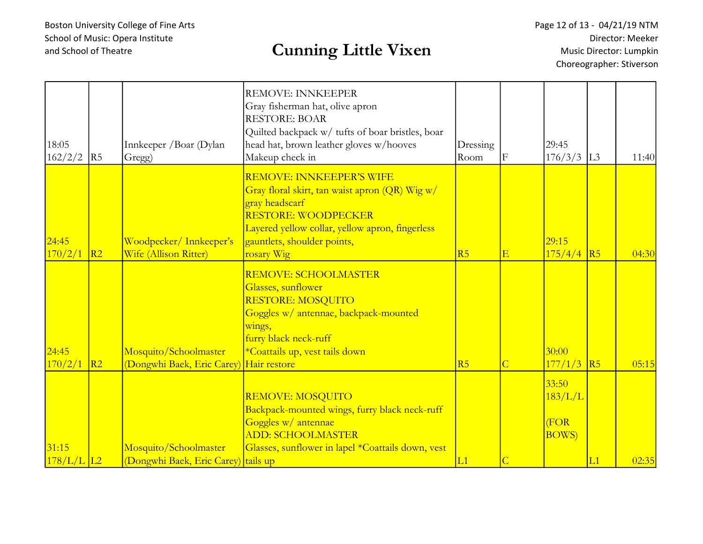| 18:05<br>162/2/2      | R5             | Innkeeper / Boar (Dylan<br>Gregg)                                | <b>REMOVE: INNKEEPER</b><br>Gray fisherman hat, olive apron<br><b>RESTORE: BOAR</b><br>Quilted backpack w/ tufts of boar bristles, boar<br>head hat, brown leather gloves w/hooves<br>Makeup check in                                   | Dressing<br>Room | F                       | 29:45<br>176/3/3                          | L <sub>3</sub> | 11:40 |
|-----------------------|----------------|------------------------------------------------------------------|-----------------------------------------------------------------------------------------------------------------------------------------------------------------------------------------------------------------------------------------|------------------|-------------------------|-------------------------------------------|----------------|-------|
| 24:45<br>170/2/1      | R <sub>2</sub> | Woodpecker/Innkeeper's<br>Wife (Allison Ritter)                  | <mark>REMOVE: INNKEEPER'S WIFE</mark><br>Gray floral skirt, tan waist apron (QR) Wig w/<br>gray headscarf<br><b>RESTORE: WOODPECKER</b><br>Layered yellow collar, yellow apron, fingerless<br>gauntlets, shoulder points,<br>rosary Wig | R5               | $\overline{\mathrm{E}}$ | 29:15<br>175/4/4                          | R5             | 04:30 |
| 24:45<br>170/2/1      | R2             | Mosquito/Schoolmaster<br>(Dongwhi Baek, Eric Carey) Hair restore | <mark>REMOVE: SCHOOLMASTER</mark><br>Glasses, sunflower<br>RESTORE: MOSQUITO<br>Goggles w/ antennae, backpack-mounted<br>wings,<br>furry black neck-ruff<br>*Coattails up, vest tails down                                              | R5               | $\overline{C}$          | 30:00<br>177/1/3                          | R5             | 05:15 |
| 31:15<br>$178/L/L$ L2 |                | Mosquito/Schoolmaster<br>(Dongwhi Baek, Eric Carey) tails up     | <b>REMOVE: MOSQUITO</b><br>Backpack-mounted wings, furry black neck-ruff<br>Goggles w/ antennae<br><b>ADD: SCHOOLMASTER</b><br>Glasses, sunflower in lapel *Coattails down, vest                                                        | L1               | $\overline{C}$          | 33:50<br>183/L/L<br>(FOR<br><b>BOWS</b> ) | L1             | 02:35 |